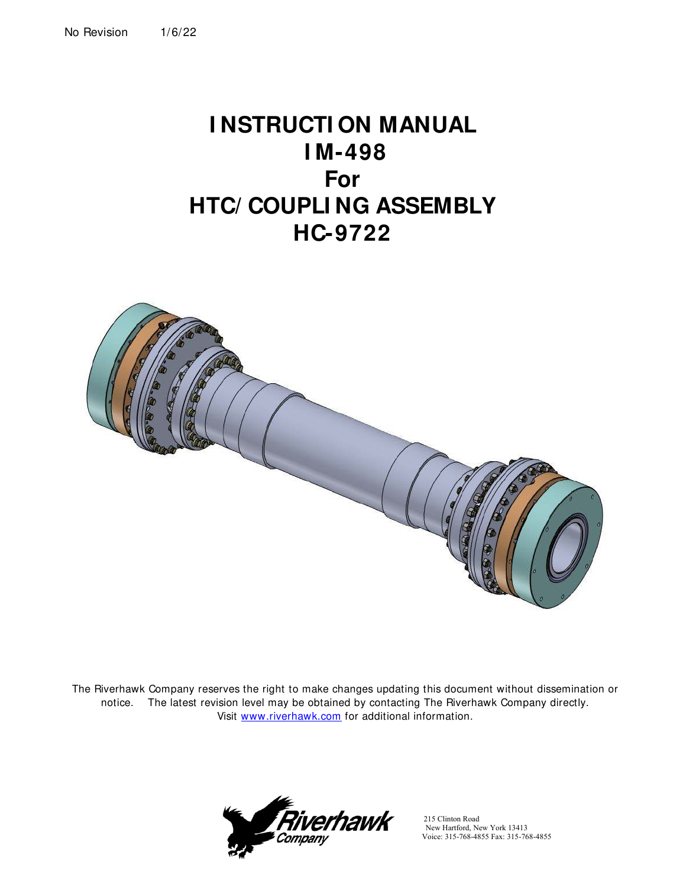# **I NSTRUCTI ON MANUAL I M-498 For HTC/ COUPLI NG ASSEMBLY HC-9722**



The Riverhawk Company reserves the right to make changes updating this document without dissemination or notice. The latest revision level may be obtained by contacting The Riverhawk Company directly. Visit [www.riverhawk.com](http://www.riverhawk.com/) for additional information.



 215 Clinton Road New Hartford, New York 13413 Voice: 315-768-4855 Fax: 315-768-4855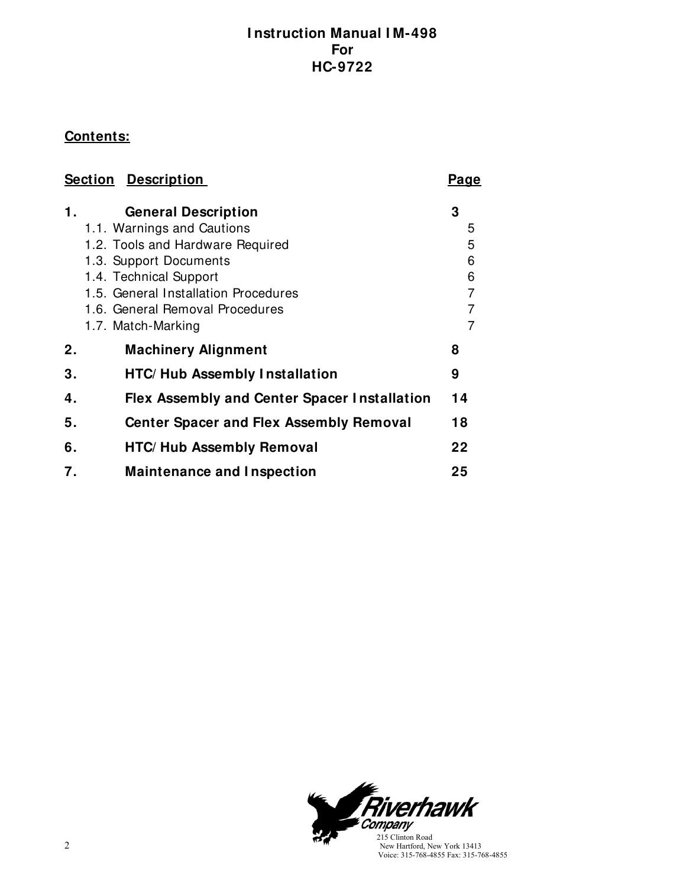# **Contents:**

| <b>Section Description</b> |                                                     | Page           |
|----------------------------|-----------------------------------------------------|----------------|
| 1.                         | <b>General Description</b>                          | 3              |
|                            | 1.1. Warnings and Cautions                          | 5              |
|                            | 1.2. Tools and Hardware Required                    | 5              |
|                            | 1.3. Support Documents                              | 6              |
|                            | 1.4. Technical Support                              | 6              |
|                            | 1.5. General Installation Procedures                | $\overline{7}$ |
|                            | 1.6. General Removal Procedures                     | 7              |
|                            | 1.7. Match-Marking                                  | 7              |
| 2.                         | <b>Machinery Alignment</b>                          | 8              |
| 3.                         | <b>HTC/ Hub Assembly Installation</b>               | 9              |
| 4.                         | <b>Flex Assembly and Center Spacer Installation</b> | 14             |
| 5.                         | <b>Center Spacer and Flex Assembly Removal</b>      | 18             |
| 6.                         | <b>HTC/ Hub Assembly Removal</b>                    | 22             |
| 7.                         | <b>Maintenance and Inspection</b>                   | 25             |

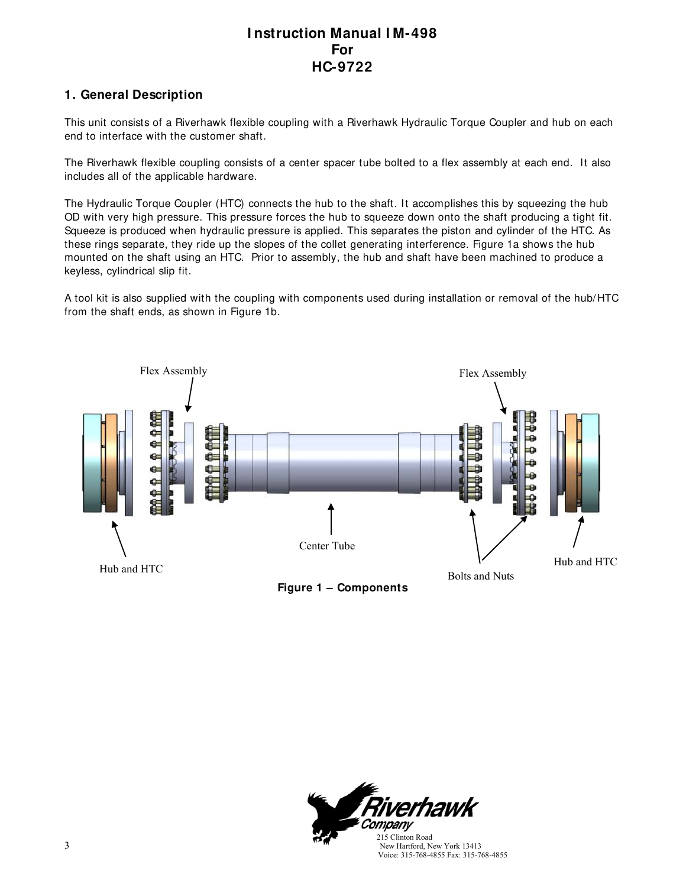### **1. General Description**

This unit consists of a Riverhawk flexible coupling with a Riverhawk Hydraulic Torque Coupler and hub on each end to interface with the customer shaft.

The Riverhawk flexible coupling consists of a center spacer tube bolted to a flex assembly at each end. It also includes all of the applicable hardware.

The Hydraulic Torque Coupler (HTC) connects the hub to the shaft. It accomplishes this by squeezing the hub OD with very high pressure. This pressure forces the hub to squeeze down onto the shaft producing a tight fit. Squeeze is produced when hydraulic pressure is applied. This separates the piston and cylinder of the HTC. As these rings separate, they ride up the slopes of the collet generating interference. Figure 1a shows the hub mounted on the shaft using an HTC. Prior to assembly, the hub and shaft have been machined to produce a keyless, cylindrical slip fit.

A tool kit is also supplied with the coupling with components used during installation or removal of the hub/HTC from the shaft ends, as shown in Figure 1b.



**Figure 1 – Components**

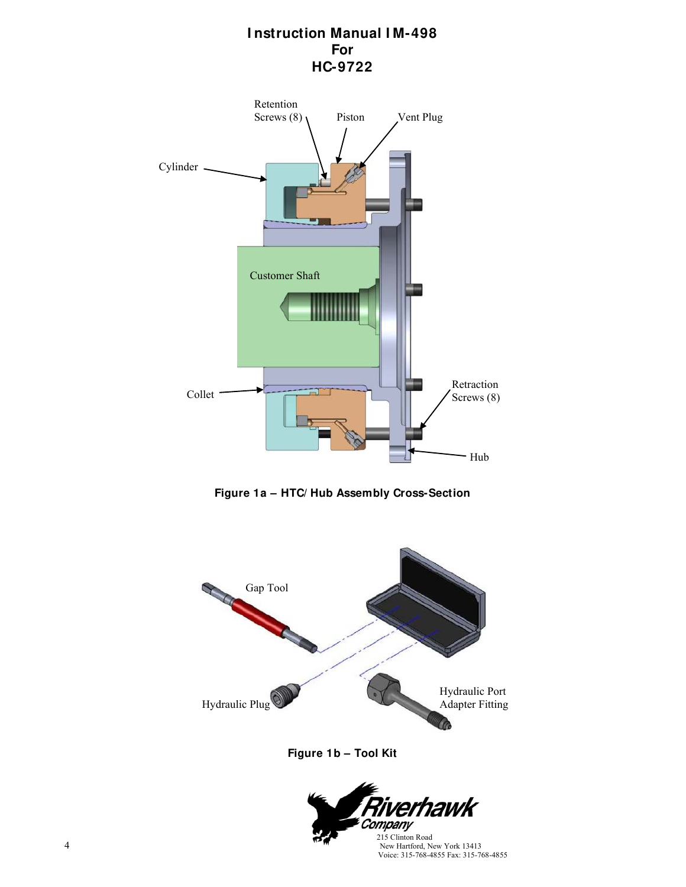

**Figure 1a – HTC/ Hub Assembly Cross-Section**



**Figure 1b – Tool Kit**

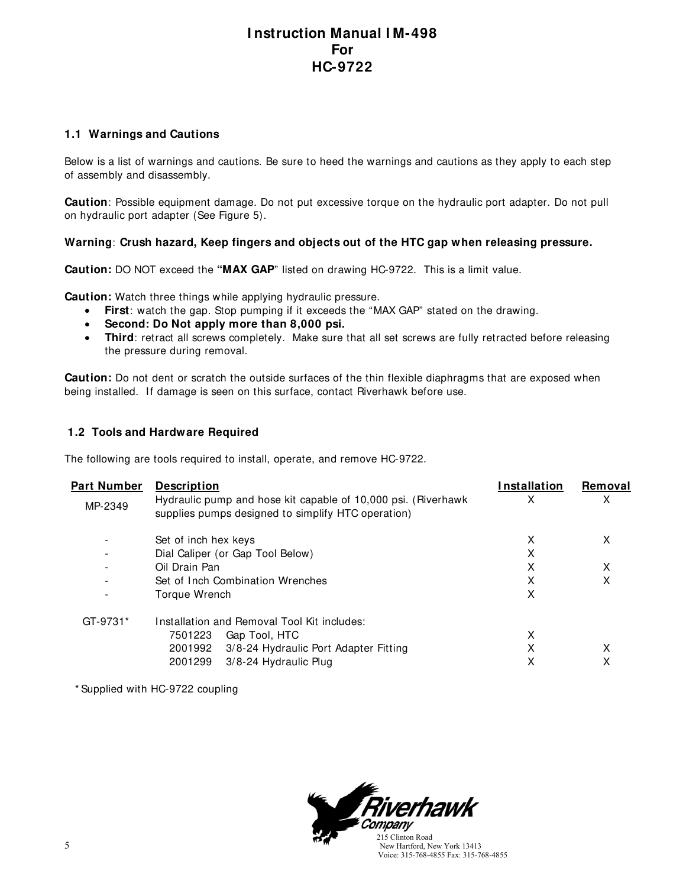#### **1.1 Warnings and Cautions**

Below is a list of warnings and cautions. Be sure to heed the warnings and cautions as they apply to each step of assembly and disassembly.

**Caution**: Possible equipment damage. Do not put excessive torque on the hydraulic port adapter. Do not pull on hydraulic port adapter (See Figure 5).

#### **Warning**: **Crush hazard, Keep fingers and objects out of the HTC gap when releasing pressure.**

**Caution:** DO NOT exceed the **"MAX GAP**" listed on drawing HC-9722. This is a limit value.

**Caution:** Watch three things while applying hydraulic pressure.

- **First**: watch the gap. Stop pumping if it exceeds the "MAX GAP" stated on the drawing.
- **Second: Do Not apply more than 8,000 psi.**
- **Third**: retract all screws completely. Make sure that all set screws are fully retracted before releasing the pressure during removal.

**Caution:** Do not dent or scratch the outside surfaces of the thin flexible diaphragms that are exposed when being installed. If damage is seen on this surface, contact Riverhawk before use.

#### **1.2 Tools and Hardware Required**

The following are tools required to install, operate, and remove HC-9722.

| Part Number              | <b>Description</b><br>Hydraulic pump and hose kit capable of 10,000 psi. (Riverhawk | Installation<br>х | Removal<br>х |
|--------------------------|-------------------------------------------------------------------------------------|-------------------|--------------|
| MP-2349                  | supplies pumps designed to simplify HTC operation)                                  |                   |              |
| -                        | Set of inch hex keys                                                                | X                 | X            |
|                          | Dial Caliper (or Gap Tool Below)                                                    | X                 |              |
| $\overline{\phantom{0}}$ | Oil Drain Pan                                                                       | X                 | X            |
|                          | Set of Inch Combination Wrenches                                                    | X                 | х            |
| $\overline{\phantom{0}}$ | Torque Wrench                                                                       | X                 |              |
| GT-9731*                 | Installation and Removal Tool Kit includes:                                         |                   |              |
|                          | 7501223<br>Gap Tool, HTC                                                            | x                 |              |
|                          | 2001992<br>3/8-24 Hydraulic Port Adapter Fitting                                    | X                 | х            |
|                          | 3/8-24 Hydraulic Plug<br>2001299                                                    | х                 | х            |

\* Supplied with HC-9722 coupling

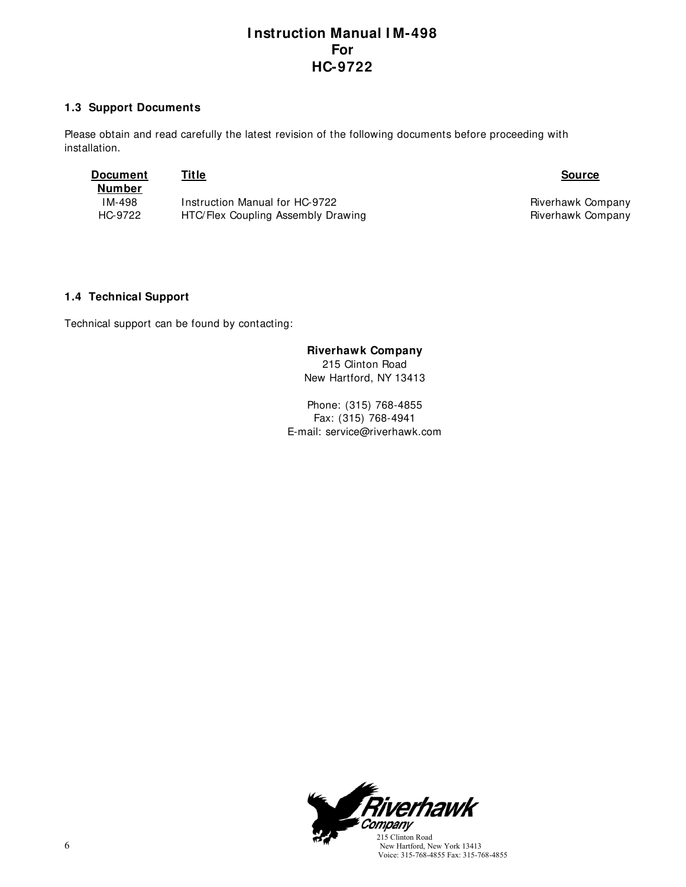#### **1.3 Support Documents**

Please obtain and read carefully the latest revision of the following documents before proceeding with installation.

| Document<br>Number | Title                              | <b>Source</b>     |
|--------------------|------------------------------------|-------------------|
| IM-498             | Instruction Manual for HC-9722     | Riverhawk Company |
| HC-9722            | HTC/Flex Coupling Assembly Drawing | Riverhawk Company |

#### **1.4 Technical Support**

Technical support can be found by contacting:

#### **Riverhawk Company**

215 Clinton Road New Hartford, NY 13413

Phone: (315) 768-4855 Fax: (315) 768-4941 E-mail: service@riverhawk.com

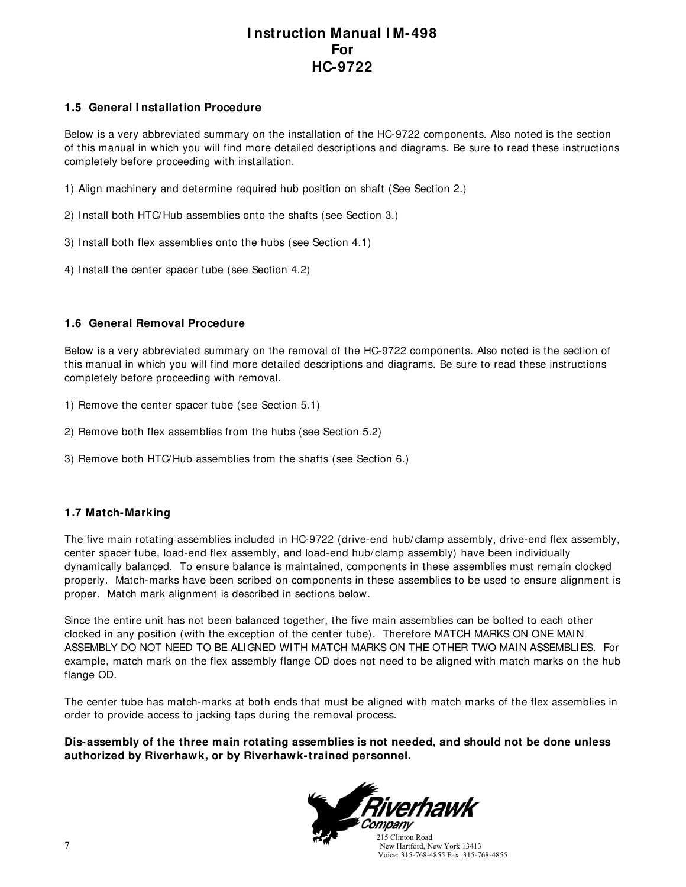#### **1.5 General I nstallation Procedure**

Below is a very abbreviated summary on the installation of the HC-9722 components. Also noted is the section of this manual in which you will find more detailed descriptions and diagrams. Be sure to read these instructions completely before proceeding with installation.

1) Align machinery and determine required hub position on shaft (See Section 2.)

- 2) Install both HTC/Hub assemblies onto the shafts (see Section 3.)
- 3) Install both flex assemblies onto the hubs (see Section 4.1)
- 4) Install the center spacer tube (see Section 4.2)

#### **1.6 General Removal Procedure**

Below is a very abbreviated summary on the removal of the HC-9722 components. Also noted is the section of this manual in which you will find more detailed descriptions and diagrams. Be sure to read these instructions completely before proceeding with removal.

- 1) Remove the center spacer tube (see Section 5.1)
- 2) Remove both flex assemblies from the hubs (see Section 5.2)
- 3) Remove both HTC/Hub assemblies from the shafts (see Section 6.)

#### **1.7 Match-Marking**

The five main rotating assemblies included in HC-9722 (drive-end hub/ clamp assembly, drive-end flex assembly, center spacer tube, load-end flex assembly, and load-end hub/clamp assembly) have been individually dynamically balanced. To ensure balance is maintained, components in these assemblies must remain clocked properly. Match-marks have been scribed on components in these assemblies to be used to ensure alignment is proper. Match mark alignment is described in sections below.

Since the entire unit has not been balanced together, the five main assemblies can be bolted to each other clocked in any position (with the exception of the center tube). Therefore MATCH MARKS ON ONE MAIN ASSEMBLY DO NOT NEED TO BE ALIGNED WITH MATCH MARKS ON THE OTHER TWO MAIN ASSEMBLIES. For example, match mark on the flex assembly flange OD does not need to be aligned with match marks on the hub flange OD.

The center tube has match-marks at both ends that must be aligned with match marks of the flex assemblies in order to provide access to jacking taps during the removal process.

#### **Dis-assembly of the three main rotating assemblies is not needed, and should not be done unless authorized by Riverhawk, or by Riverhawk-trained personnel.**



 New Hartford, New York 13413 Voice: 315-768-4855 Fax: 315-768-4855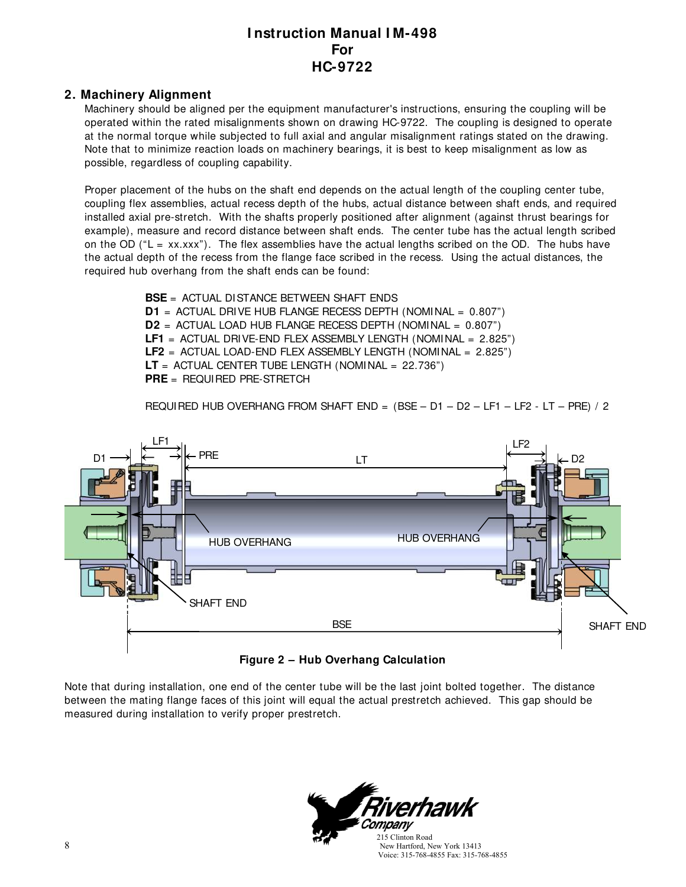#### **2. Machinery Alignment**

Machinery should be aligned per the equipment manufacturer's instructions, ensuring the coupling will be operated within the rated misalignments shown on drawing HC-9722. The coupling is designed to operate at the normal torque while subjected to full axial and angular misalignment ratings stated on the drawing. Note that to minimize reaction loads on machinery bearings, it is best to keep misalignment as low as possible, regardless of coupling capability.

Proper placement of the hubs on the shaft end depends on the actual length of the coupling center tube, coupling flex assemblies, actual recess depth of the hubs, actual distance between shaft ends, and required installed axial pre-stretch. With the shafts properly positioned after alignment (against thrust bearings for example), measure and record distance between shaft ends. The center tube has the actual length scribed on the OD ( $L = xx.xxx$ ). The flex assemblies have the actual lengths scribed on the OD. The hubs have the actual depth of the recess from the flange face scribed in the recess. Using the actual distances, the required hub overhang from the shaft ends can be found:

> **BSE** = ACTUAL DISTANCE BETWEEN SHAFT ENDS **D1** = ACTUAL DRIVE HUB FLANGE RECESS DEPTH (NOMINAL = 0.807") **D2** = ACTUAL LOAD HUB FLANGE RECESS DEPTH (NOMINAL = 0.807") **LF1** = ACTUAL DRIVE-END FLEX ASSEMBLY LENGTH (NOMINAL = 2.825") **LF2** = ACTUAL LOAD-END FLEX ASSEMBLY LENGTH (NOMINAL = 2.825") **LT** = ACTUAL CENTER TUBE LENGTH (NOMINAL = 22.736") **PRE** = REQUIRED PRE-STRETCH

REQUIRED HUB OVERHANG FROM SHAFT END = (BSE – D1 – D2 – LF1 – LF2 - LT – PRE) / 2



### **Figure 2 – Hub Overhang Calculation**

Note that during installation, one end of the center tube will be the last joint bolted together. The distance between the mating flange faces of this joint will equal the actual prestretch achieved. This gap should be measured during installation to verify proper prestretch.

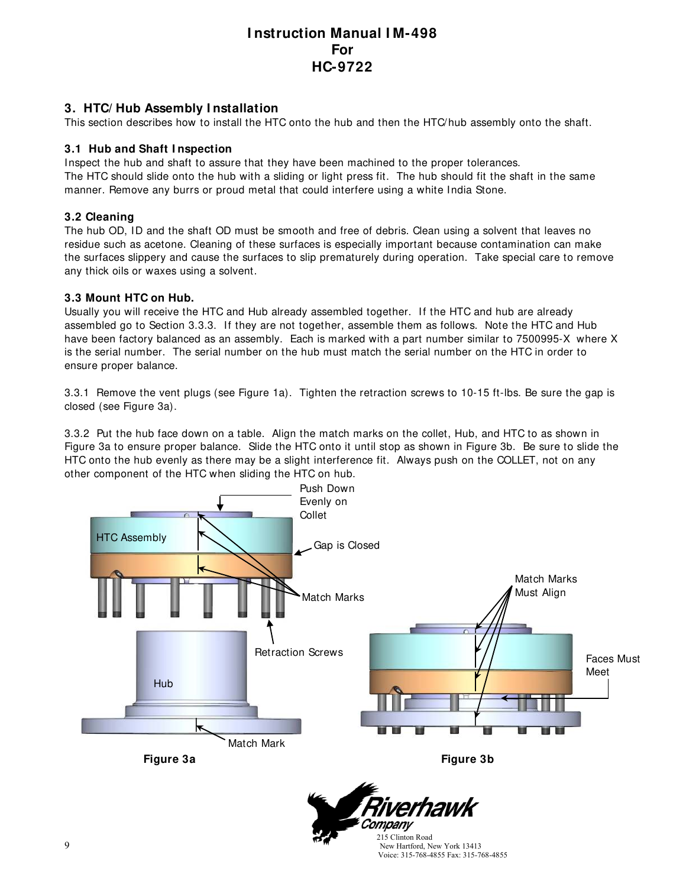#### **3. HTC/ Hub Assembly I nstallation**

This section describes how to install the HTC onto the hub and then the HTC/hub assembly onto the shaft.

#### **3.1 Hub and Shaft I nspection**

Inspect the hub and shaft to assure that they have been machined to the proper tolerances. The HTC should slide onto the hub with a sliding or light press fit. The hub should fit the shaft in the same manner. Remove any burrs or proud metal that could interfere using a white India Stone.

#### **3.2 Cleaning**

The hub OD, ID and the shaft OD must be smooth and free of debris. Clean using a solvent that leaves no residue such as acetone. Cleaning of these surfaces is especially important because contamination can make the surfaces slippery and cause the surfaces to slip prematurely during operation. Take special care to remove any thick oils or waxes using a solvent.

#### **3.3 Mount HTC on Hub.**

Usually you will receive the HTC and Hub already assembled together. If the HTC and hub are already assembled go to Section 3.3.3. If they are not together, assemble them as follows. Note the HTC and Hub have been factory balanced as an assembly. Each is marked with a part number similar to 7500995-X where X is the serial number. The serial number on the hub must match the serial number on the HTC in order to ensure proper balance.

3.3.1 Remove the vent plugs (see Figure 1a). Tighten the retraction screws to 10-15 ft-lbs. Be sure the gap is closed (see Figure 3a).

3.3.2 Put the hub face down on a table. Align the match marks on the collet, Hub, and HTC to as shown in Figure 3a to ensure proper balance. Slide the HTC onto it until stop as shown in Figure 3b. Be sure to slide the HTC onto the hub evenly as there may be a slight interference fit. Always push on the COLLET, not on any other component of the HTC when sliding the HTC on hub.



 215 Clinton Road New Hartford, New York 13413 Voice: 315-768-4855 Fax: 315-768-4855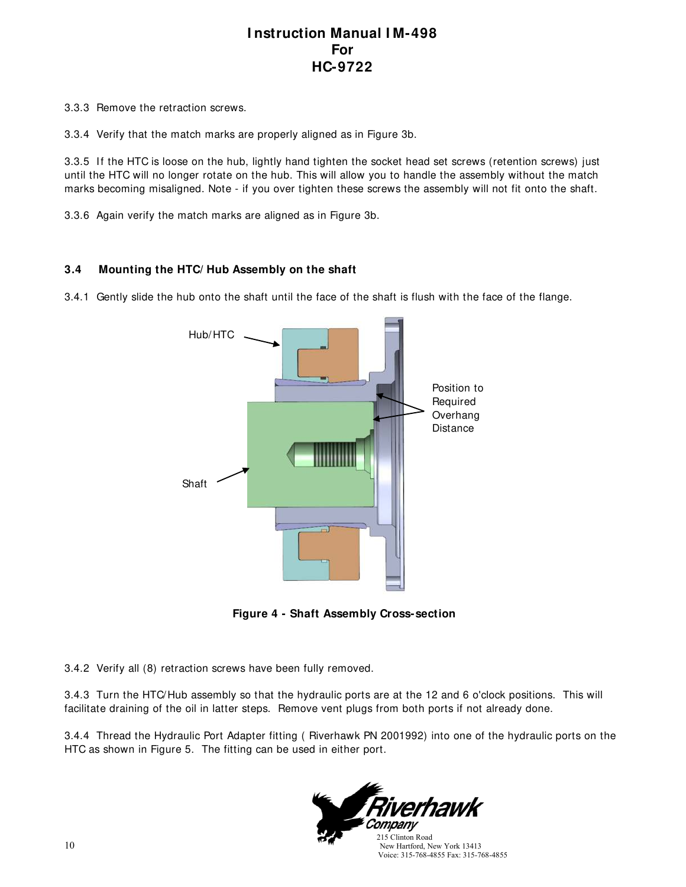3.3.3 Remove the retraction screws.

3.3.4 Verify that the match marks are properly aligned as in Figure 3b.

3.3.5 If the HTC is loose on the hub, lightly hand tighten the socket head set screws (retention screws) just until the HTC will no longer rotate on the hub. This will allow you to handle the assembly without the match marks becoming misaligned. Note - if you over tighten these screws the assembly will not fit onto the shaft.

3.3.6 Again verify the match marks are aligned as in Figure 3b.

#### **3.4 Mounting the HTC/ Hub Assembly on the shaft**

3.4.1 Gently slide the hub onto the shaft until the face of the shaft is flush with the face of the flange.



**Figure 4 - Shaft Assembly Cross-section**

3.4.2 Verify all (8) retraction screws have been fully removed.

3.4.3 Turn the HTC/Hub assembly so that the hydraulic ports are at the 12 and 6 o'clock positions. This will facilitate draining of the oil in latter steps. Remove vent plugs from both ports if not already done.

3.4.4 Thread the Hydraulic Port Adapter fitting ( Riverhawk PN 2001992) into one of the hydraulic ports on the HTC as shown in Figure 5. The fitting can be used in either port.

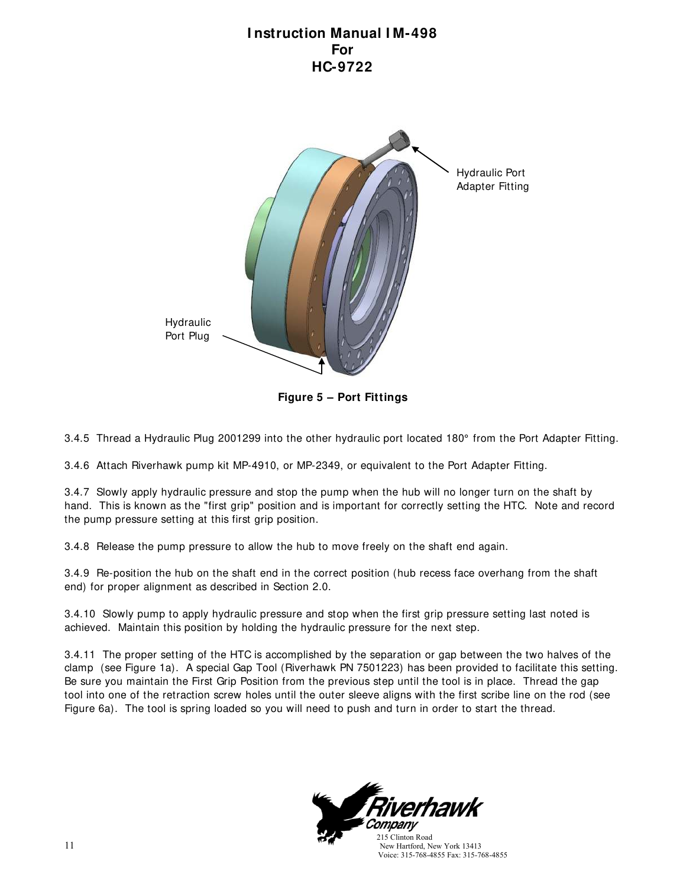

**Figure 5 – Port Fittings**

3.4.5 Thread a Hydraulic Plug 2001299 into the other hydraulic port located 180° from the Port Adapter Fitting.

3.4.6 Attach Riverhawk pump kit MP-4910, or MP-2349, or equivalent to the Port Adapter Fitting.

3.4.7 Slowly apply hydraulic pressure and stop the pump when the hub will no longer turn on the shaft by hand. This is known as the "first grip" position and is important for correctly setting the HTC. Note and record the pump pressure setting at this first grip position.

3.4.8 Release the pump pressure to allow the hub to move freely on the shaft end again.

3.4.9 Re-position the hub on the shaft end in the correct position (hub recess face overhang from the shaft end) for proper alignment as described in Section 2.0.

3.4.10 Slowly pump to apply hydraulic pressure and stop when the first grip pressure setting last noted is achieved. Maintain this position by holding the hydraulic pressure for the next step.

3.4.11 The proper setting of the HTC is accomplished by the separation or gap between the two halves of the clamp (see Figure 1a). A special Gap Tool (Riverhawk PN 7501223) has been provided to facilitate this setting. Be sure you maintain the First Grip Position from the previous step until the tool is in place. Thread the gap tool into one of the retraction screw holes until the outer sleeve aligns with the first scribe line on the rod (see Figure 6a). The tool is spring loaded so you will need to push and turn in order to start the thread.



 New Hartford, New York 13413 Voice: 315-768-4855 Fax: 315-768-4855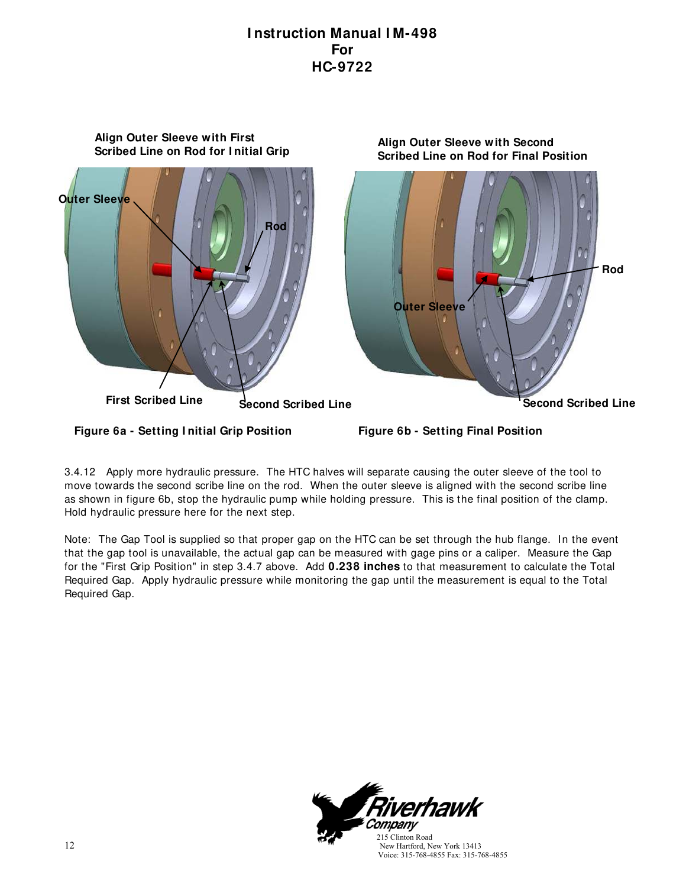

3.4.12 Apply more hydraulic pressure. The HTC halves will separate causing the outer sleeve of the tool to move towards the second scribe line on the rod. When the outer sleeve is aligned with the second scribe line as shown in figure 6b, stop the hydraulic pump while holding pressure. This is the final position of the clamp. Hold hydraulic pressure here for the next step.

Note: The Gap Tool is supplied so that proper gap on the HTC can be set through the hub flange. In the event that the gap tool is unavailable, the actual gap can be measured with gage pins or a caliper. Measure the Gap for the "First Grip Position" in step 3.4.7 above. Add **0.238 inches** to that measurement to calculate the Total Required Gap. Apply hydraulic pressure while monitoring the gap until the measurement is equal to the Total Required Gap.



Voice: 315-768-4855 Fax: 315-768-4855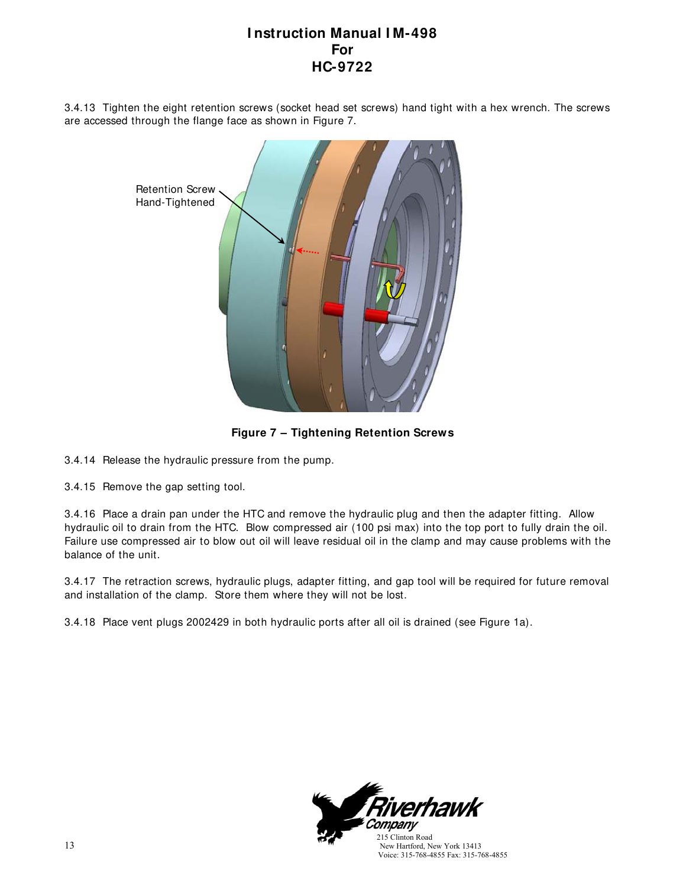3.4.13 Tighten the eight retention screws (socket head set screws) hand tight with a hex wrench. The screws are accessed through the flange face as shown in Figure 7.



**Figure 7 – Tightening Retention Screws**

3.4.14 Release the hydraulic pressure from the pump.

3.4.15 Remove the gap setting tool.

3.4.16 Place a drain pan under the HTC and remove the hydraulic plug and then the adapter fitting. Allow hydraulic oil to drain from the HTC. Blow compressed air (100 psi max) into the top port to fully drain the oil. Failure use compressed air to blow out oil will leave residual oil in the clamp and may cause problems with the balance of the unit.

3.4.17 The retraction screws, hydraulic plugs, adapter fitting, and gap tool will be required for future removal and installation of the clamp. Store them where they will not be lost.

3.4.18 Place vent plugs 2002429 in both hydraulic ports after all oil is drained (see Figure 1a).



13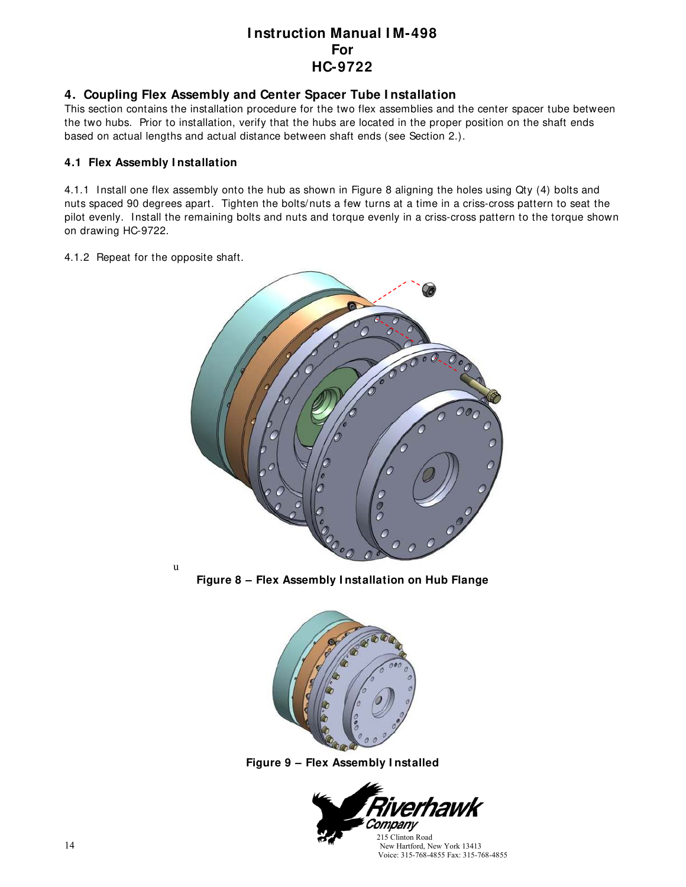#### **4. Coupling Flex Assembly and Center Spacer Tube I nstallation**

This section contains the installation procedure for the two flex assemblies and the center spacer tube between the two hubs. Prior to installation, verify that the hubs are located in the proper position on the shaft ends based on actual lengths and actual distance between shaft ends (see Section 2.).

#### **4.1 Flex Assembly I nstallation**

4.1.1 Install one flex assembly onto the hub as shown in Figure 8 aligning the holes using Qty (4) bolts and nuts spaced 90 degrees apart. Tighten the bolts/nuts a few turns at a time in a criss-cross pattern to seat the pilot evenly. Install the remaining bolts and nuts and torque evenly in a criss-cross pattern to the torque shown on drawing HC-9722.

#### 4.1.2 Repeat for the opposite shaft.

u



**Figure 8 – Flex Assembly I nstallation on Hub Flange**



**Figure 9 – Flex Assembly I nstalled**

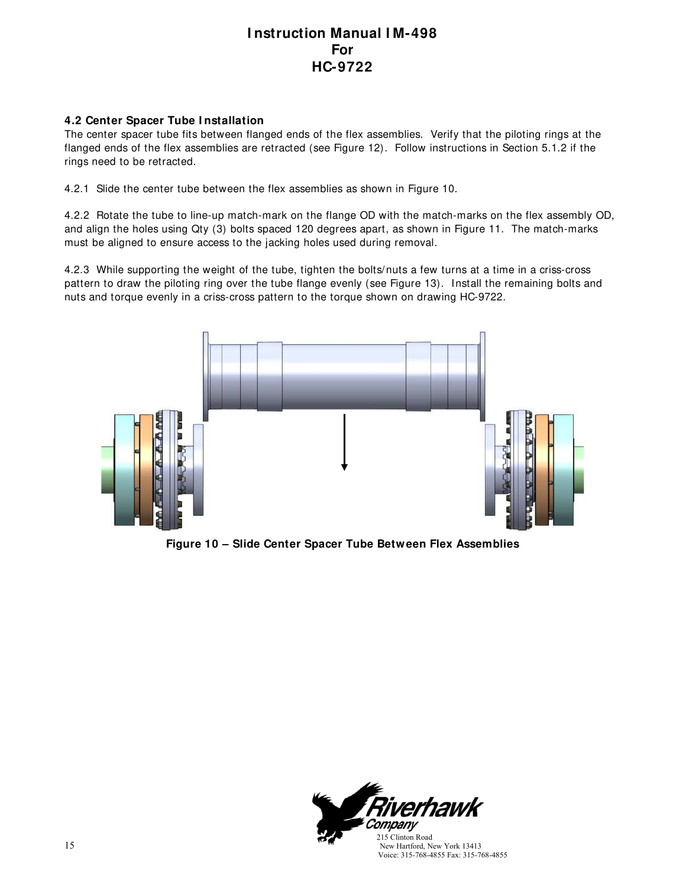#### **4.2 Center Spacer Tube I nstallation**

The center spacer tube fits between flanged ends of the flex assemblies. Verify that the piloting rings at the flanged ends of the flex assemblies are retracted (see Figure 12). Follow instructions in Section 5.1.2 if the rings need to be retracted.

4.2.1 Slide the center tube between the flex assemblies as shown in Figure 10.

4.2.2 Rotate the tube to line-up match-mark on the flange OD with the match-marks on the flex assembly OD, and align the holes using Qty (3) bolts spaced 120 degrees apart, as shown in Figure 11. The match-marks must be aligned to ensure access to the jacking holes used during removal.

4.2.3 While supporting the weight of the tube, tighten the bolts/nuts a few turns at a time in a criss-cross pattern to draw the piloting ring over the tube flange evenly (see Figure 13). Install the remaining bolts and nuts and torque evenly in a criss-cross pattern to the torque shown on drawing HC-9722.



**Figure 10 – Slide Center Spacer Tube Between Flex Assemblies**

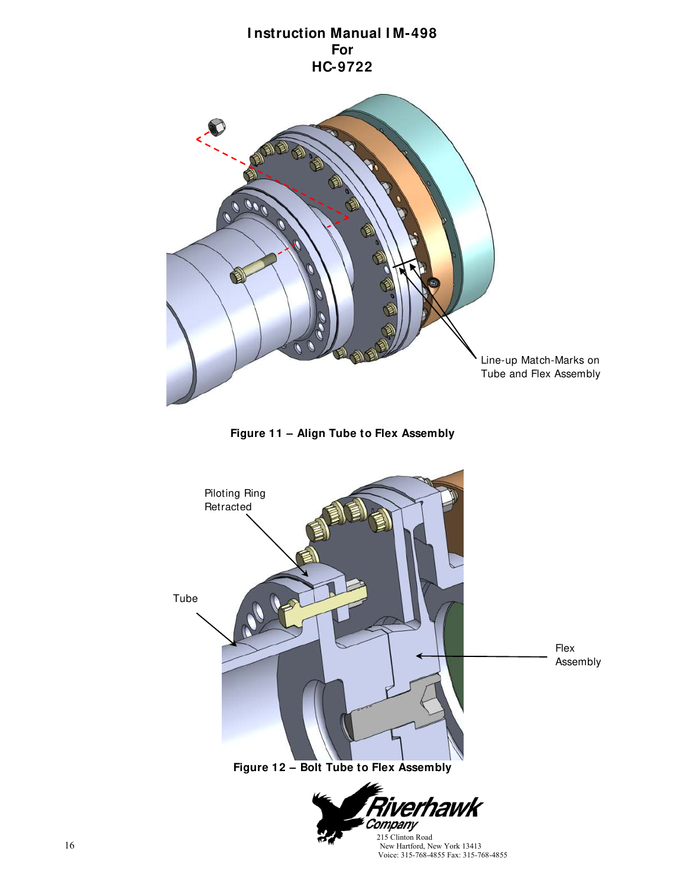

**Figure 11 – Align Tube to Flex Assembly**



New Hartford, New York 13413 Voice: 315-768-4855 Fax: 315-768-4855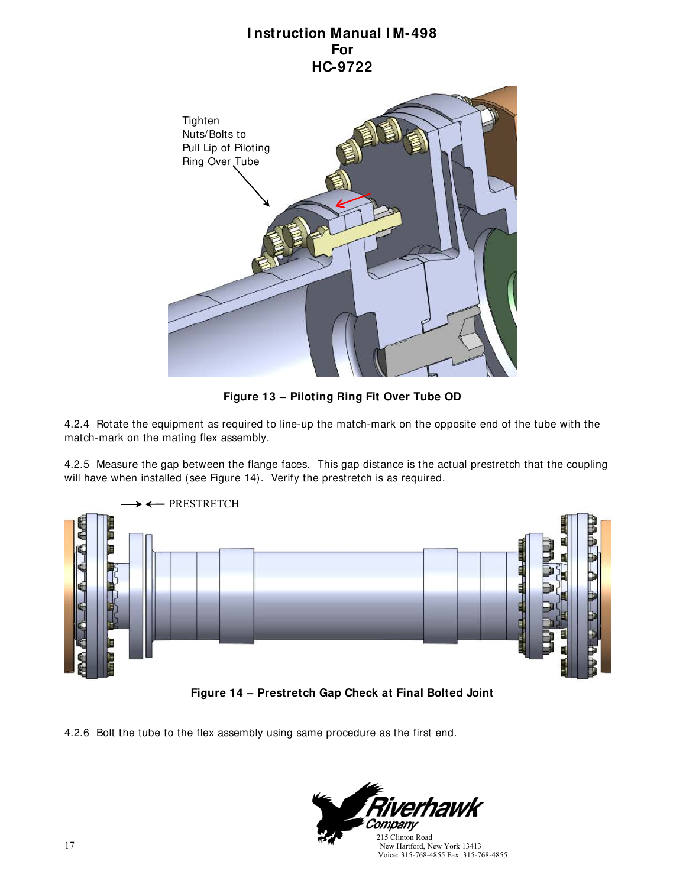

**Figure 13 – Piloting Ring Fit Over Tube OD**

4.2.4 Rotate the equipment as required to line-up the match-mark on the opposite end of the tube with the match-mark on the mating flex assembly.

4.2.5 Measure the gap between the flange faces. This gap distance is the actual prestretch that the coupling will have when installed (see Figure 14). Verify the prestretch is as required.





4.2.6 Bolt the tube to the flex assembly using same procedure as the first end.

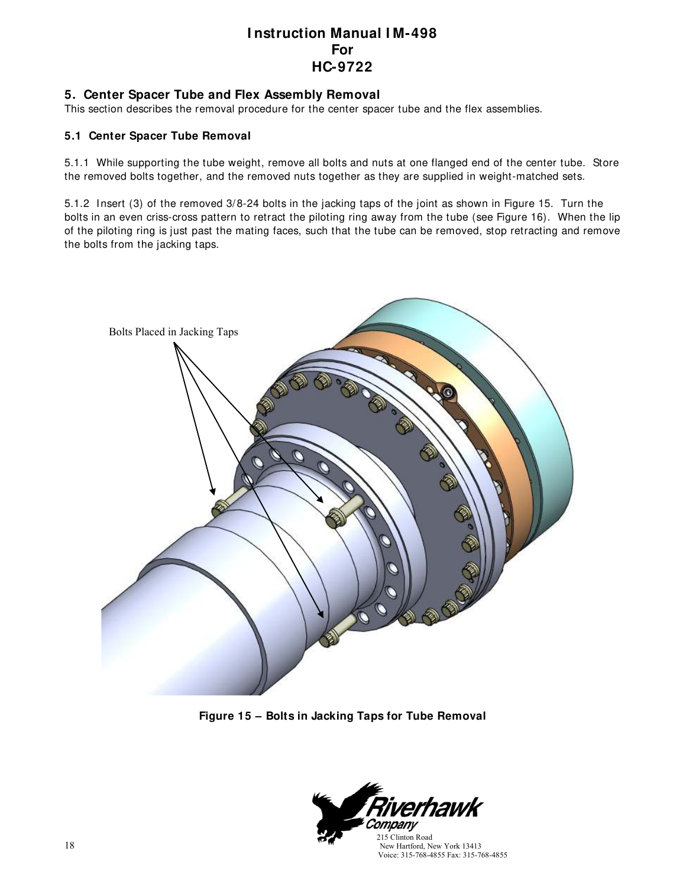#### **5. Center Spacer Tube and Flex Assembly Removal**

This section describes the removal procedure for the center spacer tube and the flex assemblies.

#### **5.1 Center Spacer Tube Removal**

5.1.1 While supporting the tube weight, remove all bolts and nuts at one flanged end of the center tube. Store the removed bolts together, and the removed nuts together as they are supplied in weight-matched sets.

5.1.2 Insert (3) of the removed 3/ 8-24 bolts in the jacking taps of the joint as shown in Figure 15. Turn the bolts in an even criss-cross pattern to retract the piloting ring away from the tube (see Figure 16). When the lip of the piloting ring is just past the mating faces, such that the tube can be removed, stop retracting and remove the bolts from the jacking taps.



**Figure 15 – Bolts in Jacking Taps for Tube Removal**

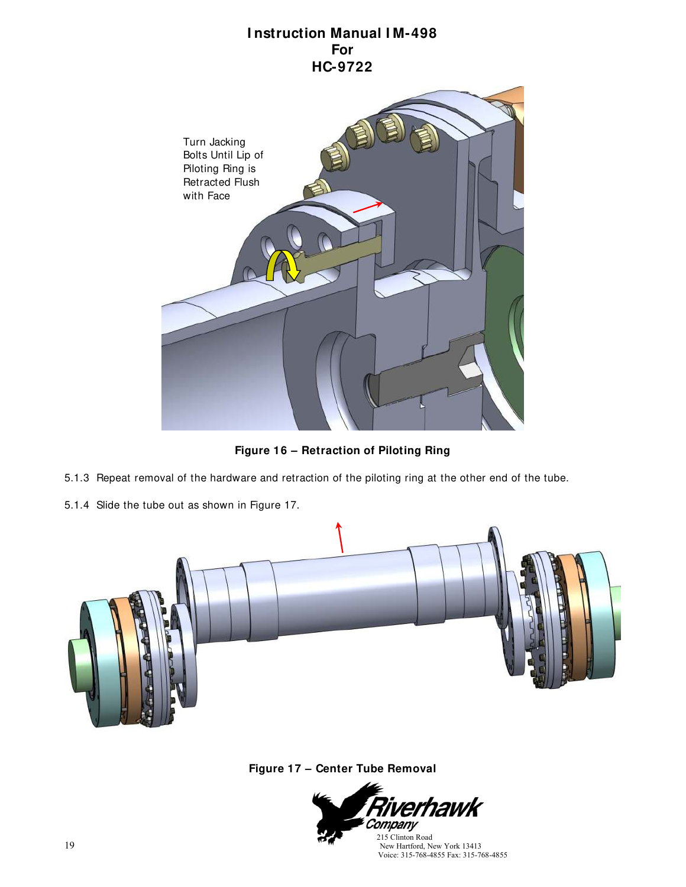

**Figure 16 – Retraction of Piloting Ring**

- 5.1.3 Repeat removal of the hardware and retraction of the piloting ring at the other end of the tube.
- 5.1.4 Slide the tube out as shown in Figure 17.



**Figure 17 – Center Tube Removal**

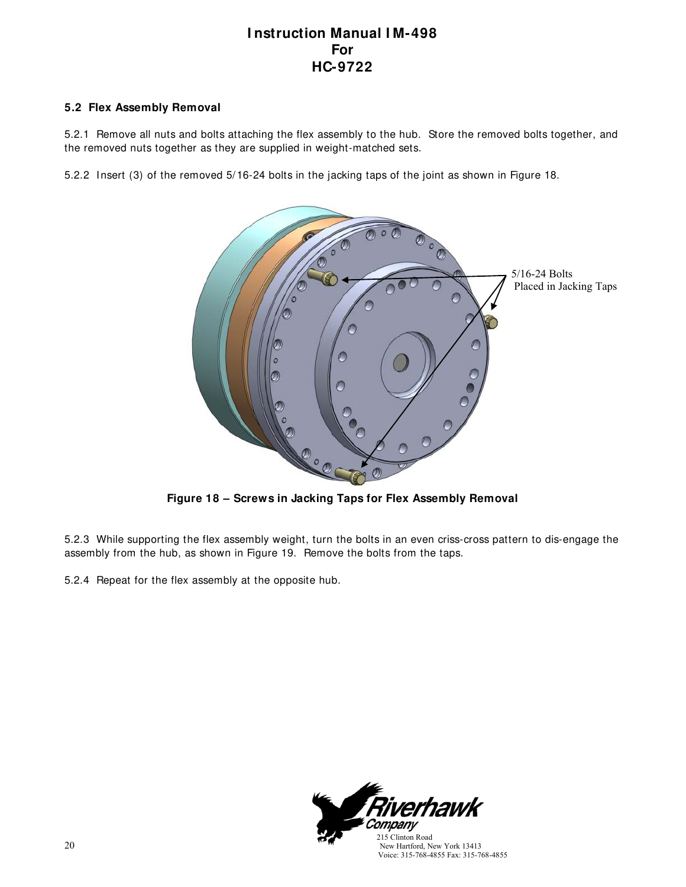#### **5.2 Flex Assembly Removal**

5.2.1 Remove all nuts and bolts attaching the flex assembly to the hub. Store the removed bolts together, and the removed nuts together as they are supplied in weight-matched sets.

5.2.2 Insert (3) of the removed 5/ 16-24 bolts in the jacking taps of the joint as shown in Figure 18.



**Figure 18 – Screws in Jacking Taps for Flex Assembly Removal**

5.2.3 While supporting the flex assembly weight, turn the bolts in an even criss-cross pattern to dis-engage the assembly from the hub, as shown in Figure 19. Remove the bolts from the taps.

5.2.4 Repeat for the flex assembly at the opposite hub.



20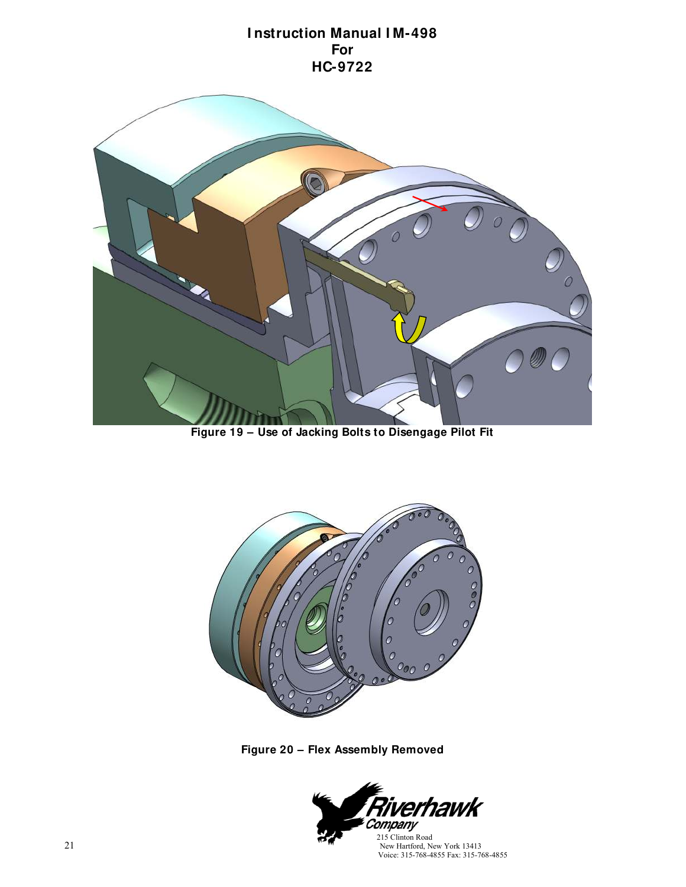

**Figure 19 – Use of Jacking Bolts to Disengage Pilot Fit**



**Figure 20 – Flex Assembly Removed**

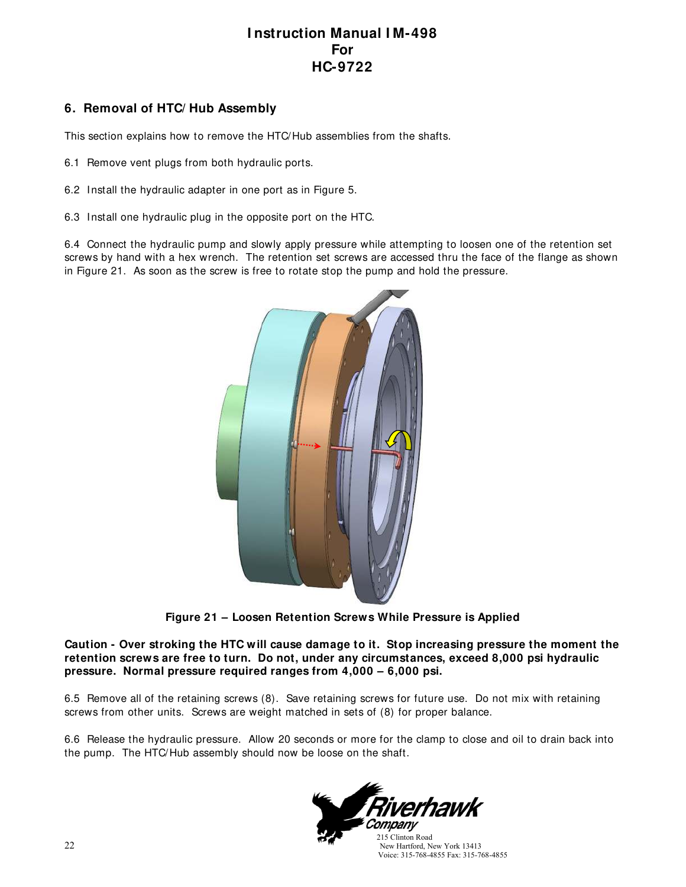### **6. Removal of HTC/ Hub Assembly**

This section explains how to remove the HTC/Hub assemblies from the shafts.

- 6.1 Remove vent plugs from both hydraulic ports.
- 6.2 Install the hydraulic adapter in one port as in Figure 5.
- 6.3 Install one hydraulic plug in the opposite port on the HTC.

6.4 Connect the hydraulic pump and slowly apply pressure while attempting to loosen one of the retention set screws by hand with a hex wrench. The retention set screws are accessed thru the face of the flange as shown in Figure 21. As soon as the screw is free to rotate stop the pump and hold the pressure.



**Figure 21 – Loosen Retention Screws While Pressure is Applied**

**Caution - Over stroking the HTC will cause damage to it. Stop increasing pressure the moment the retention screws are free to turn. Do not, under any circumstances, exceed 8,000 psi hydraulic pressure. Normal pressure required ranges from 4,000 – 6,000 psi.**

6.5 Remove all of the retaining screws (8). Save retaining screws for future use. Do not mix with retaining screws from other units. Screws are weight matched in sets of (8) for proper balance.

6.6 Release the hydraulic pressure. Allow 20 seconds or more for the clamp to close and oil to drain back into the pump. The HTC/Hub assembly should now be loose on the shaft.



 New Hartford, New York 13413 Voice: 315-768-4855 Fax: 315-768-4855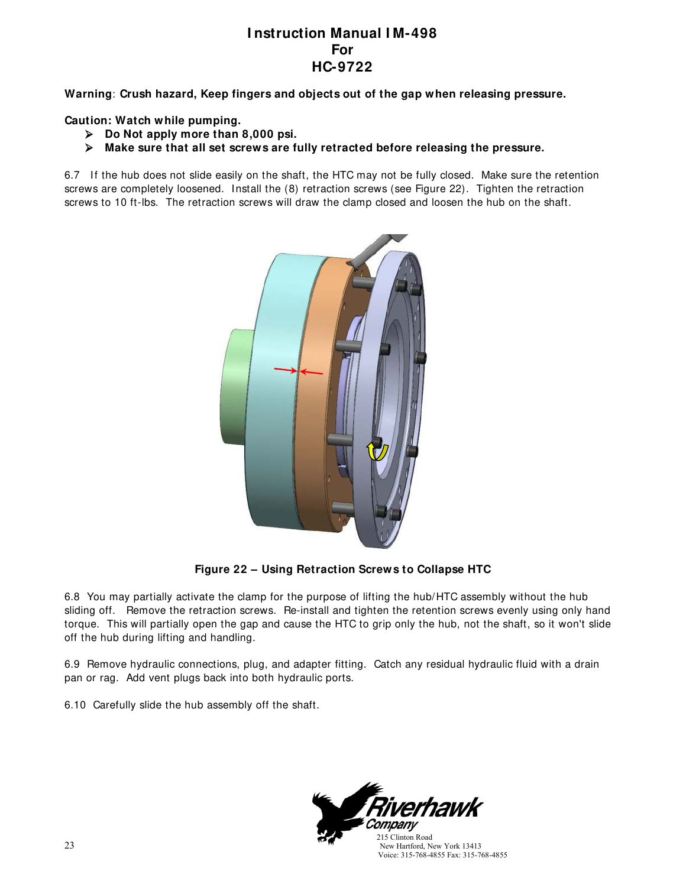**Warning**: **Crush hazard, Keep fingers and objects out of the gap when releasing pressure.**

**Caution: Watch while pumping.**

- **Do Not apply more than 8,000 psi.**
- **Make sure that all set screws are fully retracted before releasing the pressure.**

6.7 If the hub does not slide easily on the shaft, the HTC may not be fully closed. Make sure the retention screws are completely loosened. Install the (8) retraction screws (see Figure 22). Tighten the retraction screws to 10 ft-lbs. The retraction screws will draw the clamp closed and loosen the hub on the shaft.



**Figure 22 – Using Retraction Screws to Collapse HTC**

6.8 You may partially activate the clamp for the purpose of lifting the hub/HTC assembly without the hub sliding off. Remove the retraction screws. Re-install and tighten the retention screws evenly using only hand torque. This will partially open the gap and cause the HTC to grip only the hub, not the shaft, so it won't slide off the hub during lifting and handling.

6.9 Remove hydraulic connections, plug, and adapter fitting. Catch any residual hydraulic fluid with a drain pan or rag. Add vent plugs back into both hydraulic ports.

6.10 Carefully slide the hub assembly off the shaft.

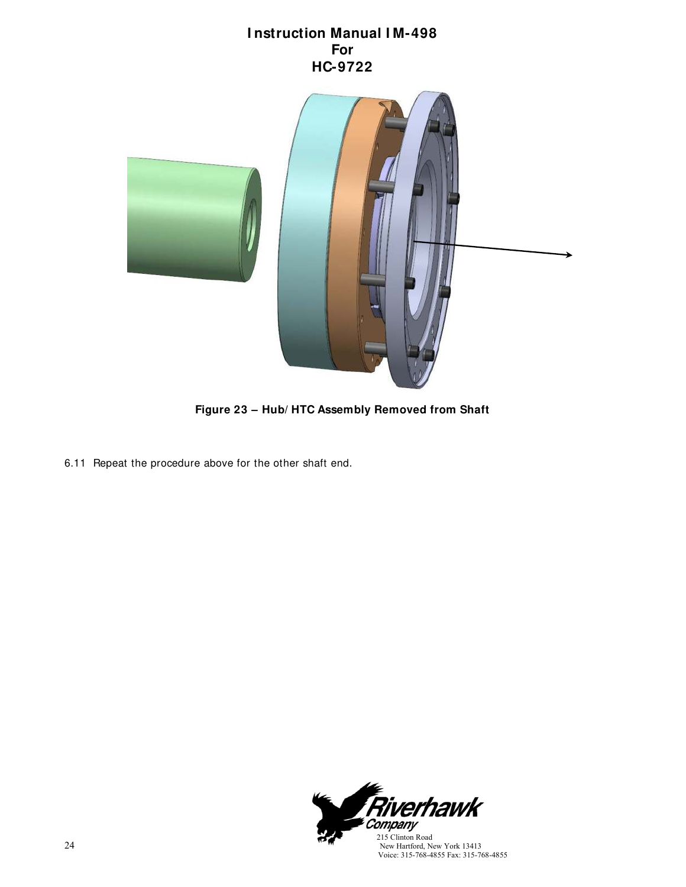

**Figure 23 – Hub/ HTC Assembly Removed from Shaft**

6.11 Repeat the procedure above for the other shaft end.